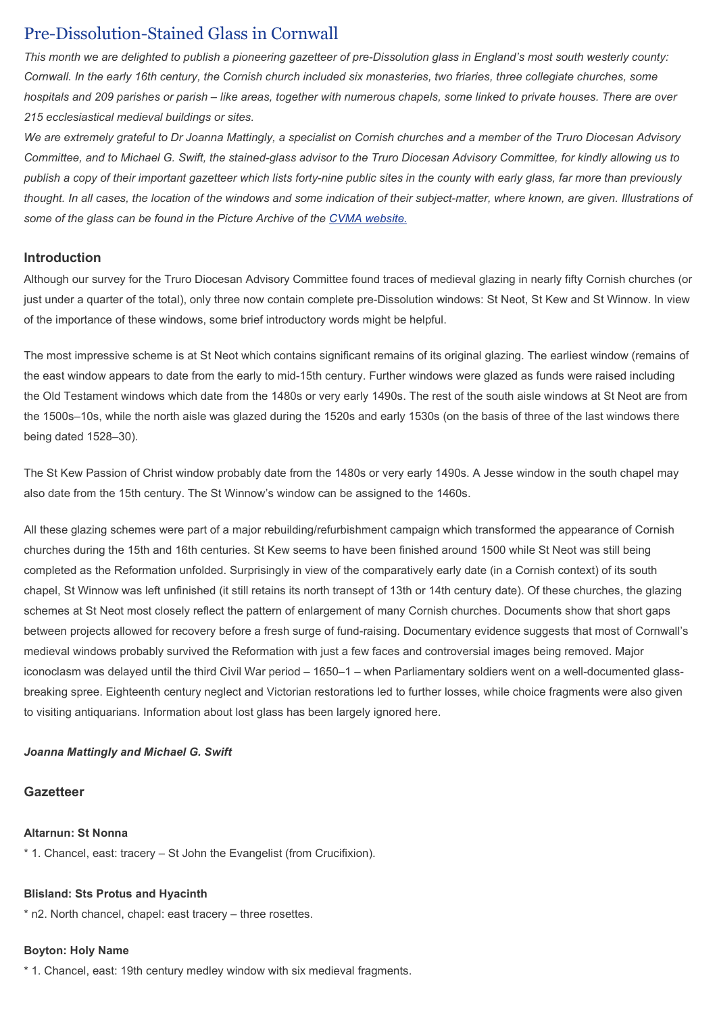# Pre-Dissolution-Stained Glass in Cornwall

This month we are delighted to publish a pioneering gazetteer of pre-Dissolution glass in England's most south westerly county: Cornwall. In the early 16th century, the Cornish church included six monasteries, two friaries, three collegiate churches, some hospitals and 209 parishes or parish – like areas, together with numerous chapels, some linked to private houses. There are over 215 ecclesiastical medieval buildings or sites.

We are extremely grateful to Dr Joanna Mattingly, a specialist on Cornish churches and a member of the Truro Diocesan Advisory Committee, and to Michael G. Swift, the stained-glass advisor to the Truro Diocesan Advisory Committee, for kindly allowing us to publish a copy of their important gazetteer which lists forty-nine public sites in the county with early glass, far more than previously thought. In all cases, the location of the windows and some indication of their subject-matter, where known, are given. Illustrations of some of the glass can be found in the Picture Archive of the CVMA website.

## Introduction

Although our survey for the Truro Diocesan Advisory Committee found traces of medieval glazing in nearly fifty Cornish churches (or just under a quarter of the total), only three now contain complete pre-Dissolution windows: St Neot, St Kew and St Winnow. In view of the importance of these windows, some brief introductory words might be helpful.

The most impressive scheme is at St Neot which contains significant remains of its original glazing. The earliest window (remains of the east window appears to date from the early to mid-15th century. Further windows were glazed as funds were raised including the Old Testament windows which date from the 1480s or very early 1490s. The rest of the south aisle windows at St Neot are from the 1500s–10s, while the north aisle was glazed during the 1520s and early 1530s (on the basis of three of the last windows there being dated 1528–30).

The St Kew Passion of Christ window probably date from the 1480s or very early 1490s. A Jesse window in the south chapel may also date from the 15th century. The St Winnow's window can be assigned to the 1460s.

All these glazing schemes were part of a major rebuilding/refurbishment campaign which transformed the appearance of Cornish churches during the 15th and 16th centuries. St Kew seems to have been finished around 1500 while St Neot was still being completed as the Reformation unfolded. Surprisingly in view of the comparatively early date (in a Cornish context) of its south chapel, St Winnow was left unfinished (it still retains its north transept of 13th or 14th century date). Of these churches, the glazing schemes at St Neot most closely reflect the pattern of enlargement of many Cornish churches. Documents show that short gaps between projects allowed for recovery before a fresh surge of fund-raising. Documentary evidence suggests that most of Cornwall's medieval windows probably survived the Reformation with just a few faces and controversial images being removed. Major iconoclasm was delayed until the third Civil War period – 1650–1 – when Parliamentary soldiers went on a well-documented glassbreaking spree. Eighteenth century neglect and Victorian restorations led to further losses, while choice fragments were also given to visiting antiquarians. Information about lost glass has been largely ignored here.

## Joanna Mattingly and Michael G. Swift

## **Gazetteer**

## Altarnun: St Nonna

\* 1. Chancel, east: tracery – St John the Evangelist (from Crucifixion).

# Blisland: Sts Protus and Hyacinth

\* n2. North chancel, chapel: east tracery – three rosettes.

# Boyton: Holy Name

\* 1. Chancel, east: 19th century medley window with six medieval fragments.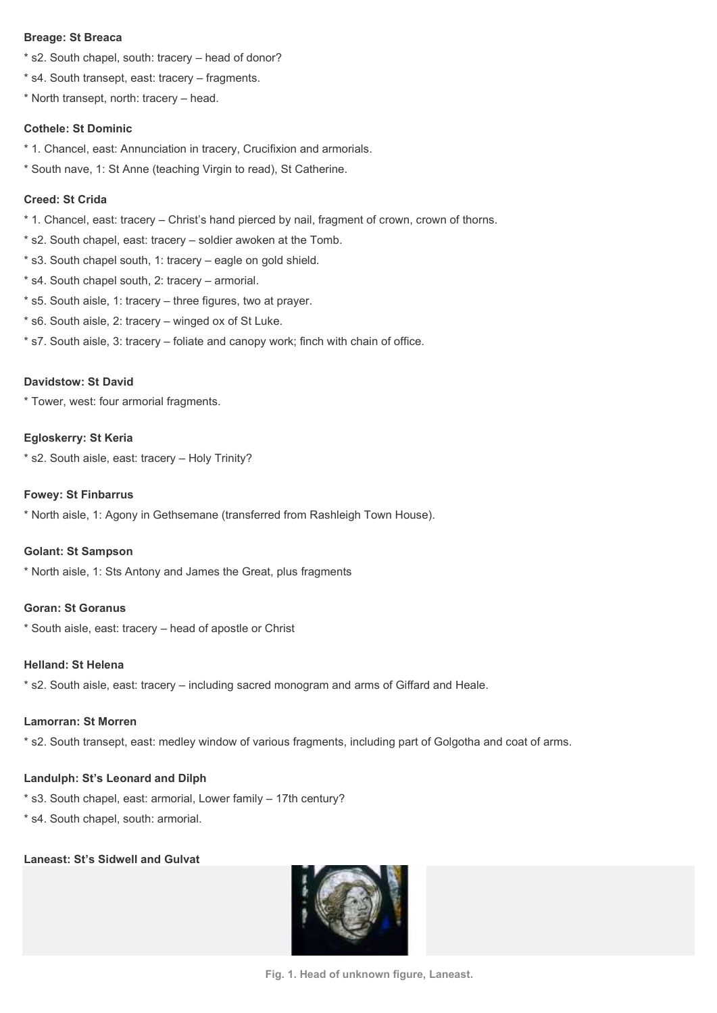#### Breage: St Breaca

- \* s2. South chapel, south: tracery head of donor?
- \* s4. South transept, east: tracery fragments.
- \* North transept, north: tracery head.

#### Cothele: St Dominic

- \* 1. Chancel, east: Annunciation in tracery, Crucifixion and armorials.
- \* South nave, 1: St Anne (teaching Virgin to read), St Catherine.

## Creed: St Crida

- \* 1. Chancel, east: tracery Christ's hand pierced by nail, fragment of crown, crown of thorns.
- \* s2. South chapel, east: tracery soldier awoken at the Tomb.
- \* s3. South chapel south, 1: tracery eagle on gold shield.
- \* s4. South chapel south, 2: tracery armorial.
- \* s5. South aisle, 1: tracery three figures, two at prayer.
- \* s6. South aisle, 2: tracery winged ox of St Luke.
- \* s7. South aisle, 3: tracery foliate and canopy work; finch with chain of office.

## Davidstow: St David

\* Tower, west: four armorial fragments.

#### Egloskerry: St Keria

\* s2. South aisle, east: tracery – Holy Trinity?

## Fowey: St Finbarrus

\* North aisle, 1: Agony in Gethsemane (transferred from Rashleigh Town House).

#### Golant: St Sampson

\* North aisle, 1: Sts Antony and James the Great, plus fragments

## Goran: St Goranus

\* South aisle, east: tracery – head of apostle or Christ

#### Helland: St Helena

\* s2. South aisle, east: tracery – including sacred monogram and arms of Giffard and Heale.

#### Lamorran: St Morren

\* s2. South transept, east: medley window of various fragments, including part of Golgotha and coat of arms.

## Landulph: St's Leonard and Dilph

\* s3. South chapel, east: armorial, Lower family – 17th century?

\* s4. South chapel, south: armorial.

## Laneast: St's Sidwell and Gulvat



Fig. 1. Head of unknown figure, Laneast.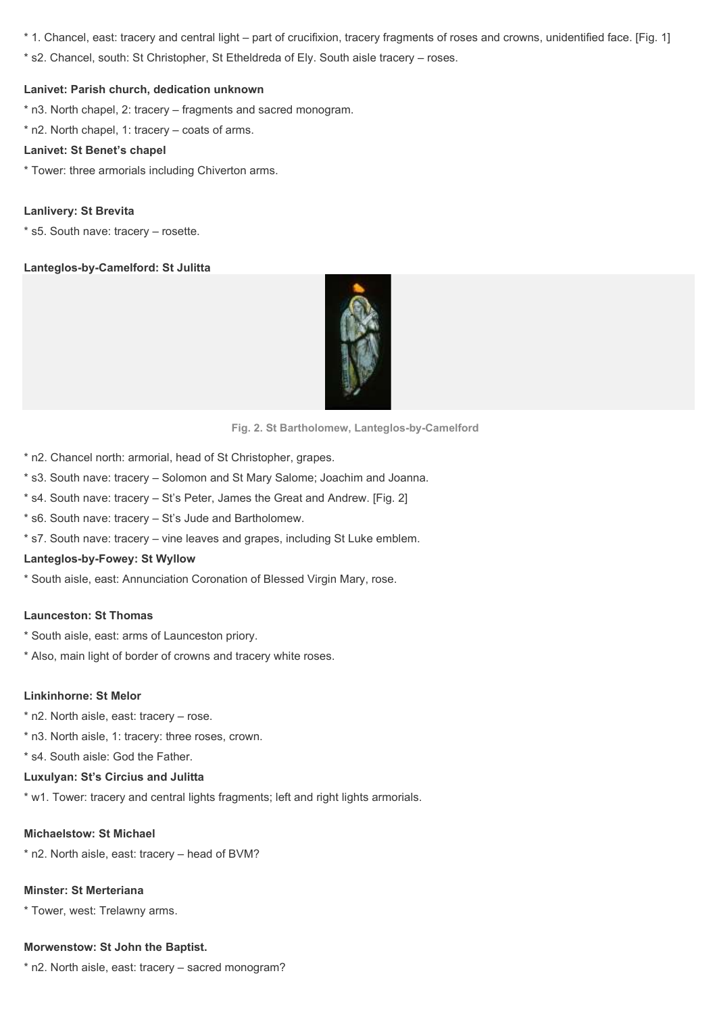\* 1. Chancel, east: tracery and central light – part of crucifixion, tracery fragments of roses and crowns, unidentified face. [Fig. 1]

\* s2. Chancel, south: St Christopher, St Etheldreda of Ely. South aisle tracery – roses.

## Lanivet: Parish church, dedication unknown

- \* n3. North chapel, 2: tracery fragments and sacred monogram.
- \* n2. North chapel, 1: tracery coats of arms.

### Lanivet: St Benet's chapel

\* Tower: three armorials including Chiverton arms.

## Lanlivery: St Brevita

\* s5. South nave: tracery – rosette.

## Lanteglos-by-Camelford: St Julitta



Fig. 2. St Bartholomew, Lanteglos-by-Camelford

- \* n2. Chancel north: armorial, head of St Christopher, grapes.
- \* s3. South nave: tracery Solomon and St Mary Salome; Joachim and Joanna.
- \* s4. South nave: tracery St's Peter, James the Great and Andrew. [Fig. 2]
- \* s6. South nave: tracery St's Jude and Bartholomew.
- \* s7. South nave: tracery vine leaves and grapes, including St Luke emblem.

## Lanteglos-by-Fowey: St Wyllow

\* South aisle, east: Annunciation Coronation of Blessed Virgin Mary, rose.

#### Launceston: St Thomas

- \* South aisle, east: arms of Launceston priory.
- \* Also, main light of border of crowns and tracery white roses.

#### Linkinhorne: St Melor

- \* n2. North aisle, east: tracery rose.
- \* n3. North aisle, 1: tracery: three roses, crown.
- \* s4. South aisle: God the Father.

#### Luxulyan: St's Circius and Julitta

\* w1. Tower: tracery and central lights fragments; left and right lights armorials.

#### Michaelstow: St Michael

\* n2. North aisle, east: tracery – head of BVM?

## Minster: St Merteriana

\* Tower, west: Trelawny arms.

## Morwenstow: St John the Baptist.

\* n2. North aisle, east: tracery – sacred monogram?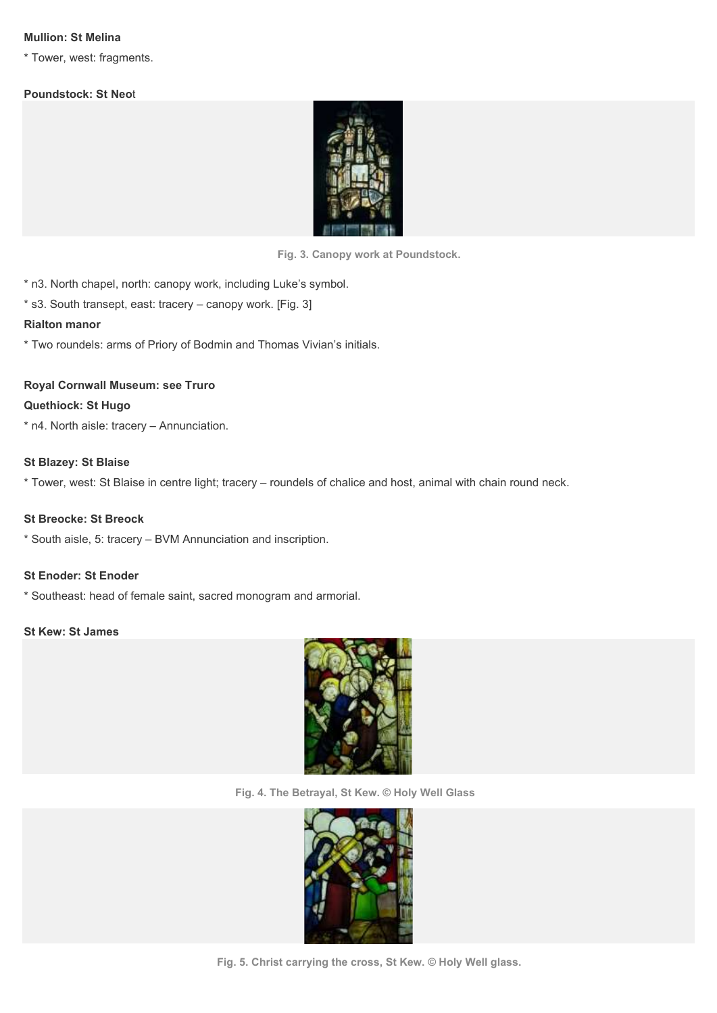## Mullion: St Melina

\* Tower, west: fragments.

## Poundstock: St Neot



Fig. 3. Canopy work at Poundstock.

\* n3. North chapel, north: canopy work, including Luke's symbol.

\* s3. South transept, east: tracery – canopy work. [Fig. 3]

#### Rialton manor

\* Two roundels: arms of Priory of Bodmin and Thomas Vivian's initials.

## Royal Cornwall Museum: see Truro

#### Quethiock: St Hugo

\* n4. North aisle: tracery – Annunciation.

#### St Blazey: St Blaise

\* Tower, west: St Blaise in centre light; tracery – roundels of chalice and host, animal with chain round neck.

## St Breocke: St Breock

\* South aisle, 5: tracery – BVM Annunciation and inscription.

## St Enoder: St Enoder

\* Southeast: head of female saint, sacred monogram and armorial.

#### St Kew: St James



Fig. 4. The Betrayal, St Kew. © Holy Well Glass



Fig. 5. Christ carrying the cross, St Kew. © Holy Well glass.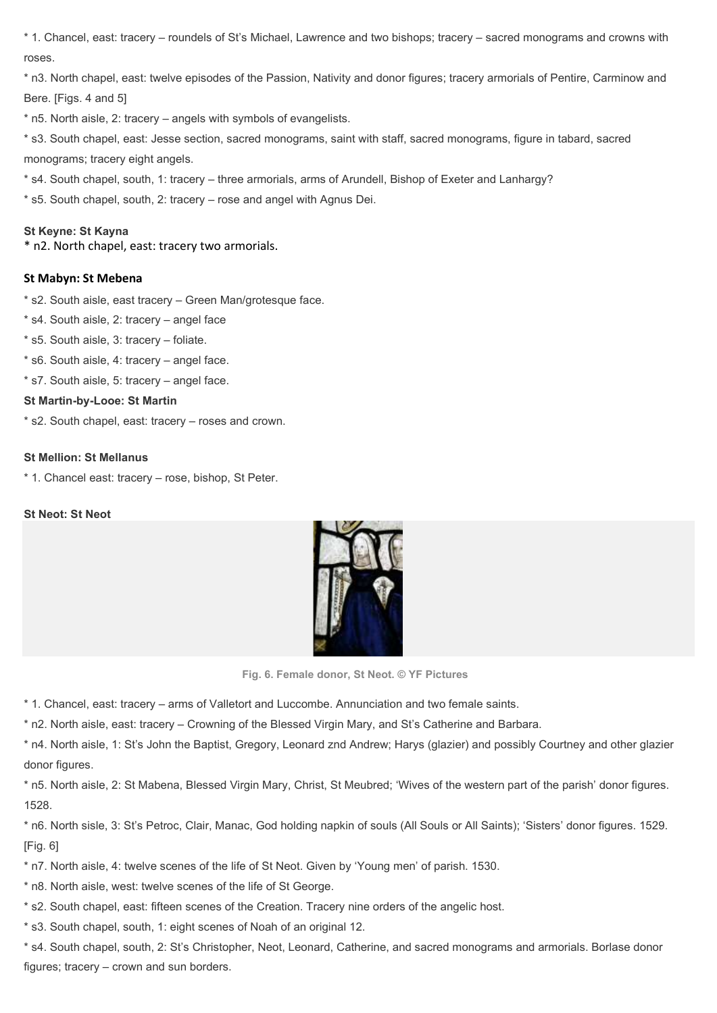\* 1. Chancel, east: tracery – roundels of St's Michael, Lawrence and two bishops; tracery – sacred monograms and crowns with roses.

\* n3. North chapel, east: twelve episodes of the Passion, Nativity and donor figures; tracery armorials of Pentire, Carminow and Bere. [Figs. 4 and 5]

\* n5. North aisle, 2: tracery – angels with symbols of evangelists.

\* s3. South chapel, east: Jesse section, sacred monograms, saint with staff, sacred monograms, figure in tabard, sacred monograms; tracery eight angels.

\* s4. South chapel, south, 1: tracery – three armorials, arms of Arundell, Bishop of Exeter and Lanhargy?

\* s5. South chapel, south, 2: tracery – rose and angel with Agnus Dei.

## St Keyne: St Kayna

\* n2. North chapel, east: tracery two armorials.

## St Mabyn: St Mebena

- \* s2. South aisle, east tracery Green Man/grotesque face.
- \* s4. South aisle, 2: tracery angel face
- \* s5. South aisle, 3: tracery foliate.
- \* s6. South aisle, 4: tracery angel face.
- \* s7. South aisle, 5: tracery angel face.

## St Martin-by-Looe: St Martin

\* s2. South chapel, east: tracery – roses and crown.

## St Mellion: St Mellanus

\* 1. Chancel east: tracery – rose, bishop, St Peter.

## St Neot: St Neot



Fig. 6. Female donor, St Neot. © YF Pictures

\* 1. Chancel, east: tracery – arms of Valletort and Luccombe. Annunciation and two female saints.

\* n2. North aisle, east: tracery – Crowning of the Blessed Virgin Mary, and St's Catherine and Barbara.

\* n4. North aisle, 1: St's John the Baptist, Gregory, Leonard znd Andrew; Harys (glazier) and possibly Courtney and other glazier donor figures.

\* n5. North aisle, 2: St Mabena, Blessed Virgin Mary, Christ, St Meubred; 'Wives of the western part of the parish' donor figures. 1528.

\* n6. North sisle, 3: St's Petroc, Clair, Manac, God holding napkin of souls (All Souls or All Saints); 'Sisters' donor figures. 1529. [Fig. 6]

\* n7. North aisle, 4: twelve scenes of the life of St Neot. Given by 'Young men' of parish. 1530.

\* n8. North aisle, west: twelve scenes of the life of St George.

\* s2. South chapel, east: fifteen scenes of the Creation. Tracery nine orders of the angelic host.

\* s3. South chapel, south, 1: eight scenes of Noah of an original 12.

\* s4. South chapel, south, 2: St's Christopher, Neot, Leonard, Catherine, and sacred monograms and armorials. Borlase donor figures; tracery – crown and sun borders.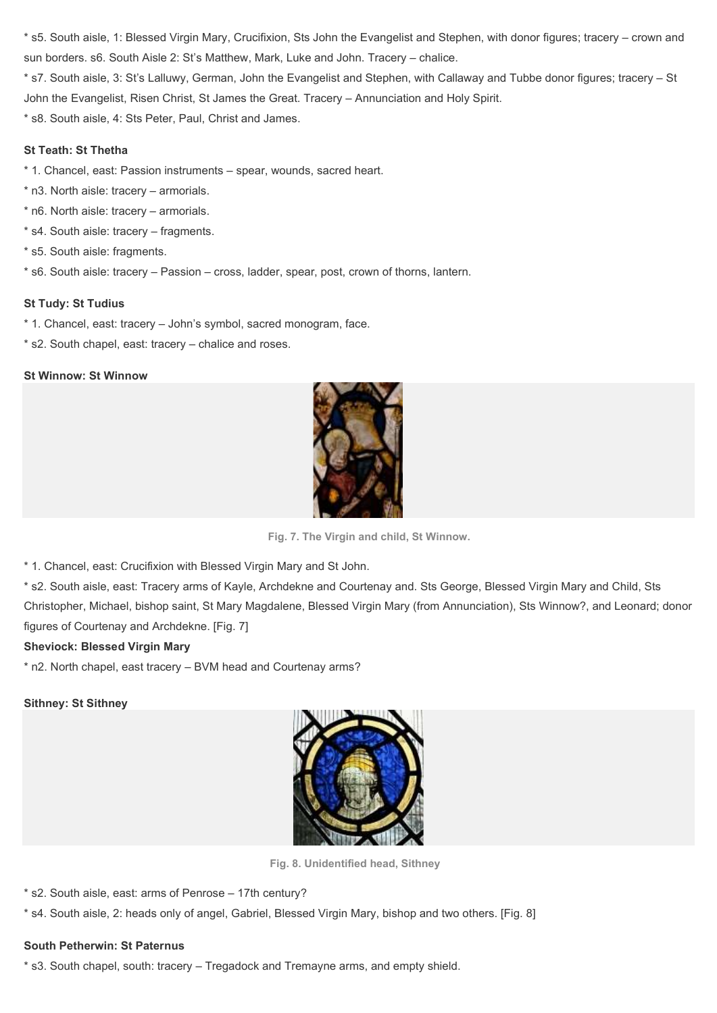\* s5. South aisle, 1: Blessed Virgin Mary, Crucifixion, Sts John the Evangelist and Stephen, with donor figures; tracery – crown and sun borders. s6. South Aisle 2: St's Matthew, Mark, Luke and John. Tracery – chalice.

\* s7. South aisle, 3: St's Lalluwy, German, John the Evangelist and Stephen, with Callaway and Tubbe donor figures; tracery – St John the Evangelist, Risen Christ, St James the Great. Tracery – Annunciation and Holy Spirit.

\* s8. South aisle, 4: Sts Peter, Paul, Christ and James.

## St Teath: St Thetha

- \* 1. Chancel, east: Passion instruments spear, wounds, sacred heart.
- \* n3. North aisle: tracery armorials.
- \* n6. North aisle: tracery armorials.
- \* s4. South aisle: tracery fragments.
- \* s5. South aisle: fragments.
- \* s6. South aisle: tracery Passion cross, ladder, spear, post, crown of thorns, lantern.

## St Tudy: St Tudius

- \* 1. Chancel, east: tracery John's symbol, sacred monogram, face.
- \* s2. South chapel, east: tracery chalice and roses.

## St Winnow: St Winnow



Fig. 7. The Virgin and child, St Winnow.

\* 1. Chancel, east: Crucifixion with Blessed Virgin Mary and St John.

\* s2. South aisle, east: Tracery arms of Kayle, Archdekne and Courtenay and. Sts George, Blessed Virgin Mary and Child, Sts Christopher, Michael, bishop saint, St Mary Magdalene, Blessed Virgin Mary (from Annunciation), Sts Winnow?, and Leonard; donor figures of Courtenay and Archdekne. [Fig. 7]

## Sheviock: Blessed Virgin Mary

\* n2. North chapel, east tracery – BVM head and Courtenay arms?

## Sithney: St Sithney



Fig. 8. Unidentified head, Sithney

- \* s2. South aisle, east: arms of Penrose 17th century?
- \* s4. South aisle, 2: heads only of angel, Gabriel, Blessed Virgin Mary, bishop and two others. [Fig. 8]

# South Petherwin: St Paternus

\* s3. South chapel, south: tracery – Tregadock and Tremayne arms, and empty shield.